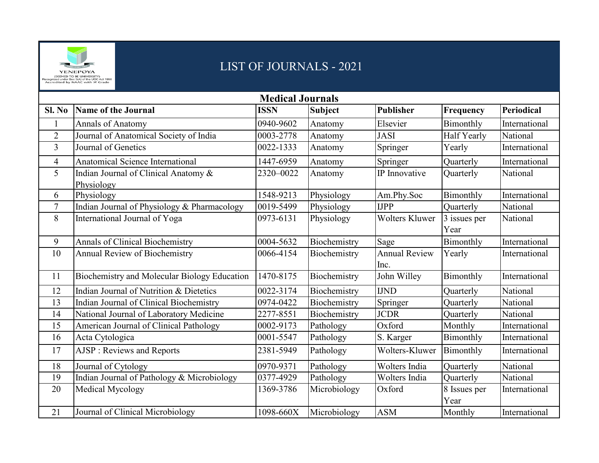

## LIST OF JOURNALS - 2021

| <b>Medical Journals</b> |                                                    |             |                |                              |                      |                   |  |  |  |
|-------------------------|----------------------------------------------------|-------------|----------------|------------------------------|----------------------|-------------------|--|--|--|
| Sl. No                  | <b>Name of the Journal</b>                         | <b>ISSN</b> | <b>Subject</b> | <b>Publisher</b>             | Frequency            | <b>Periodical</b> |  |  |  |
|                         | Annals of Anatomy                                  | 0940-9602   | Anatomy        | Elsevier                     | Bimonthly            | International     |  |  |  |
| $\overline{2}$          | Journal of Anatomical Society of India             | 0003-2778   | Anatomy        | <b>JASI</b>                  | Half Yearly          | National          |  |  |  |
| $\overline{3}$          | Journal of Genetics                                | 0022-1333   | Anatomy        | Springer                     | Yearly               | International     |  |  |  |
| $\overline{4}$          | <b>Anatomical Science International</b>            | 1447-6959   | Anatomy        | Springer                     | Quarterly            | International     |  |  |  |
| 5                       | Indian Journal of Clinical Anatomy &<br>Physiology | 2320-0022   | Anatomy        | IP Innovative                | Quarterly            | National          |  |  |  |
| 6                       | Physiology                                         | 1548-9213   | Physiology     | Am.Phy.Soc                   | Bimonthly            | International     |  |  |  |
| $\overline{7}$          | Indian Journal of Physiology & Pharmacology        | 0019-5499   | Physiology     | <b>IJPP</b>                  | Quarterly            | National          |  |  |  |
| 8                       | International Journal of Yoga                      | 0973-6131   | Physiology     | <b>Wolters Kluwer</b>        | 3 issues per<br>Year | National          |  |  |  |
| 9                       | Annals of Clinical Biochemistry                    | 0004-5632   | Biochemistry   | Sage                         | Bimonthly            | International     |  |  |  |
| 10                      | Annual Review of Biochemistry                      | 0066-4154   | Biochemistry   | <b>Annual Review</b><br>Inc. | Yearly               | International     |  |  |  |
| 11                      | Biochemistry and Molecular Biology Education       | 1470-8175   | Biochemistry   | John Willey                  | Bimonthly            | International     |  |  |  |
| 12                      | Indian Journal of Nutrition & Dietetics            | 0022-3174   | Biochemistry   | <b>IJND</b>                  | Quarterly            | National          |  |  |  |
| 13                      | Indian Journal of Clinical Biochemistry            | 0974-0422   | Biochemistry   | Springer                     | Quarterly            | National          |  |  |  |
| 14                      | National Journal of Laboratory Medicine            | 2277-8551   | Biochemistry   | <b>JCDR</b>                  | Quarterly            | National          |  |  |  |
| 15                      | American Journal of Clinical Pathology             | 0002-9173   | Pathology      | Oxford                       | Monthly              | International     |  |  |  |
| 16                      | Acta Cytologica                                    | 0001-5547   | Pathology      | S. Karger                    | Bimonthly            | International     |  |  |  |
| 17                      | AJSP : Reviews and Reports                         | 2381-5949   | Pathology      | Wolters-Kluwer               | Bimonthly            | International     |  |  |  |
| 18                      | Journal of Cytology                                | 0970-9371   | Pathology      | Wolters India                | Quarterly            | National          |  |  |  |
| 19                      | Indian Journal of Pathology & Microbiology         | 0377-4929   | Pathology      | Wolters India                | <b>Ouarterly</b>     | National          |  |  |  |
| 20                      | Medical Mycology                                   | 1369-3786   | Microbiology   | Oxford                       | 8 Issues per<br>Year | International     |  |  |  |
| 21                      | Journal of Clinical Microbiology                   | 1098-660X   | Microbiology   | <b>ASM</b>                   | Monthly              | International     |  |  |  |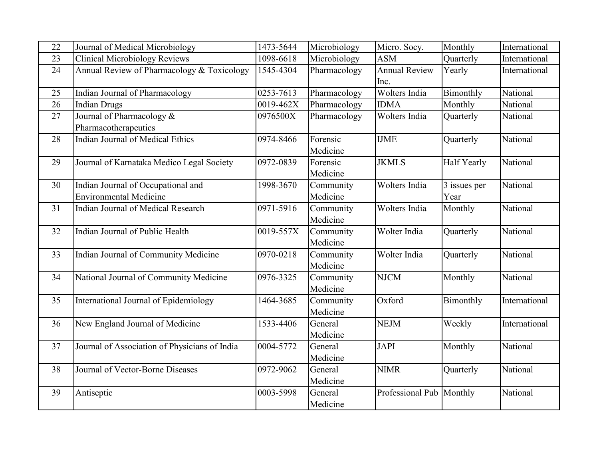| 22 | Journal of Medical Microbiology                          | 1473-5644 | Microbiology          | Micro. Socy.                 | Monthly            | International |
|----|----------------------------------------------------------|-----------|-----------------------|------------------------------|--------------------|---------------|
| 23 | <b>Clinical Microbiology Reviews</b>                     | 1098-6618 | Microbiology          | <b>ASM</b>                   | Quarterly          | International |
| 24 | Annual Review of Pharmacology & Toxicology               | 1545-4304 | Pharmacology          | <b>Annual Review</b><br>Inc. | Yearly             | International |
| 25 | Indian Journal of Pharmacology                           | 0253-7613 | Pharmacology          | Wolters India                | Bimonthly          | National      |
| 26 | <b>Indian Drugs</b>                                      | 0019-462X | Pharmacology          | <b>IDMA</b>                  | Monthly            | National      |
| 27 | Journal of Pharmacology &                                | 0976500X  | Pharmacology          | Wolters India                | Quarterly          | National      |
| 28 | Pharmacotherapeutics<br>Indian Journal of Medical Ethics | 0974-8466 | Forensic              | <b>IJME</b>                  |                    | National      |
|    |                                                          |           | Medicine              |                              | Quarterly          |               |
| 29 | Journal of Karnataka Medico Legal Society                | 0972-0839 | Forensic              | <b>JKMLS</b>                 | <b>Half Yearly</b> | National      |
|    |                                                          |           | Medicine              |                              |                    |               |
| 30 | Indian Journal of Occupational and                       | 1998-3670 | Community             | Wolters India                | 3 issues per       | National      |
|    | <b>Environmental Medicine</b>                            |           | Medicine              |                              | Year               |               |
| 31 | Indian Journal of Medical Research                       | 0971-5916 | Community             | Wolters India                | Monthly            | National      |
|    |                                                          |           | Medicine              |                              |                    |               |
| 32 | Indian Journal of Public Health                          | 0019-557X | Community<br>Medicine | Wolter India                 | Quarterly          | National      |
|    |                                                          |           |                       |                              |                    |               |
| 33 | Indian Journal of Community Medicine                     | 0970-0218 | Community             | Wolter India                 | Quarterly          | National      |
|    |                                                          |           | Medicine              |                              |                    |               |
| 34 | National Journal of Community Medicine                   | 0976-3325 | Community             | <b>NJCM</b>                  | Monthly            | National      |
|    |                                                          |           | Medicine              |                              |                    |               |
| 35 | International Journal of Epidemiology                    | 1464-3685 | Community             | Oxford                       | Bimonthly          | International |
|    |                                                          |           | Medicine              |                              |                    |               |
| 36 | New England Journal of Medicine                          | 1533-4406 | General               | <b>NEJM</b>                  | Weekly             | International |
|    |                                                          |           | Medicine              |                              |                    |               |
| 37 | Journal of Association of Physicians of India            | 0004-5772 | General               | <b>JAPI</b>                  | Monthly            | National      |
|    |                                                          |           | Medicine              |                              |                    |               |
| 38 | Journal of Vector-Borne Diseases                         | 0972-9062 | General               | <b>NIMR</b>                  | Quarterly          | National      |
|    |                                                          |           | Medicine              |                              |                    |               |
| 39 | Antiseptic                                               | 0003-5998 | General               | Professional Pub Monthly     |                    | National      |
|    |                                                          |           | Medicine              |                              |                    |               |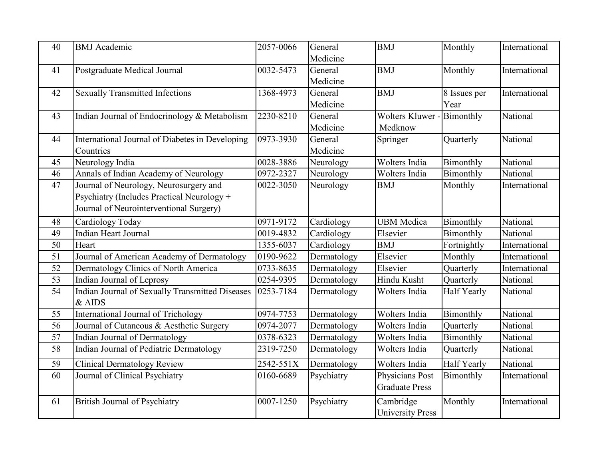| 40 | <b>BMJ</b> Academic                             | 2057-0066 | General     | <b>BMJ</b>              | Monthly            | International |
|----|-------------------------------------------------|-----------|-------------|-------------------------|--------------------|---------------|
|    |                                                 |           | Medicine    |                         |                    |               |
| 41 | Postgraduate Medical Journal                    | 0032-5473 | General     | <b>BMJ</b>              | Monthly            | International |
|    |                                                 |           | Medicine    |                         |                    |               |
| 42 | <b>Sexually Transmitted Infections</b>          | 1368-4973 | General     | <b>BMJ</b>              | 8 Issues per       | International |
|    |                                                 |           | Medicine    |                         | Year               |               |
| 43 | Indian Journal of Endocrinology & Metabolism    | 2230-8210 | General     | <b>Wolters Kluwer</b>   | Bimonthly          | National      |
|    |                                                 |           | Medicine    | Medknow                 |                    |               |
| 44 | International Journal of Diabetes in Developing | 0973-3930 | General     | Springer                | Quarterly          | National      |
|    | Countries                                       |           | Medicine    |                         |                    |               |
| 45 | Neurology India                                 | 0028-3886 | Neurology   | Wolters India           | Bimonthly          | National      |
| 46 | Annals of Indian Academy of Neurology           | 0972-2327 | Neurology   | Wolters India           | Bimonthly          | National      |
| 47 | Journal of Neurology, Neurosurgery and          | 0022-3050 | Neurology   | <b>BMJ</b>              | Monthly            | International |
|    | Psychiatry (Includes Practical Neurology +      |           |             |                         |                    |               |
|    | Journal of Neurointerventional Surgery)         |           |             |                         |                    |               |
| 48 | Cardiology Today                                | 0971-9172 | Cardiology  | <b>UBM</b> Medica       | Bimonthly          | National      |
| 49 | <b>Indian Heart Journal</b>                     | 0019-4832 | Cardiology  | Elsevier                | Bimonthly          | National      |
| 50 | Heart                                           | 1355-6037 | Cardiology  | <b>BMJ</b>              | Fortnightly        | International |
| 51 | Journal of American Academy of Dermatology      | 0190-9622 | Dermatology | Elsevier                | Monthly            | International |
| 52 | Dermatology Clinics of North America            | 0733-8635 | Dermatology | Elsevier                | Quarterly          | International |
| 53 | Indian Journal of Leprosy                       | 0254-9395 | Dermatology | Hindu Kusht             | Quarterly          | National      |
| 54 | Indian Journal of Sexually Transmitted Diseases | 0253-7184 | Dermatology | Wolters India           | Half Yearly        | National      |
|    | & AIDS                                          |           |             |                         |                    |               |
| 55 | International Journal of Trichology             | 0974-7753 | Dermatology | Wolters India           | Bimonthly          | National      |
| 56 | Journal of Cutaneous & Aesthetic Surgery        | 0974-2077 | Dermatology | Wolters India           | Quarterly          | National      |
| 57 | Indian Journal of Dermatology                   | 0378-6323 | Dermatology | Wolters India           | Bimonthly          | National      |
| 58 | Indian Journal of Pediatric Dermatology         | 2319-7250 | Dermatology | Wolters India           | Quarterly          | National      |
| 59 | <b>Clinical Dermatology Review</b>              | 2542-551X | Dermatology | Wolters India           | <b>Half Yearly</b> | National      |
| 60 | Journal of Clinical Psychiatry                  | 0160-6689 | Psychiatry  | Physicians Post         | Bimonthly          | International |
|    |                                                 |           |             | <b>Graduate Press</b>   |                    |               |
| 61 | <b>British Journal of Psychiatry</b>            | 0007-1250 | Psychiatry  | Cambridge               | Monthly            | International |
|    |                                                 |           |             | <b>University Press</b> |                    |               |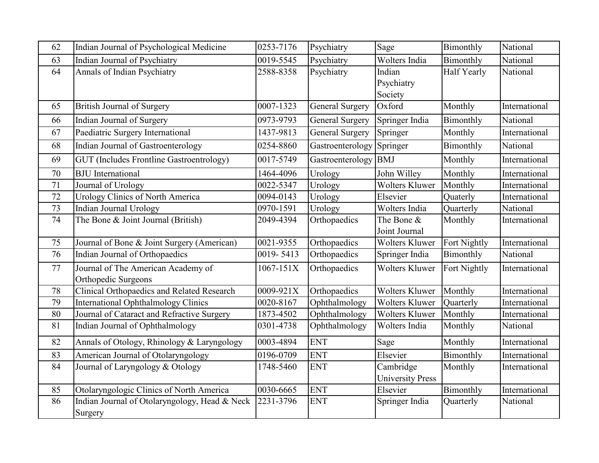| 62 | Indian Journal of Psychological Medicine                  | 0253-7176 | Psychiatry             | Sage                                 | Bimonthly          | National      |
|----|-----------------------------------------------------------|-----------|------------------------|--------------------------------------|--------------------|---------------|
| 63 | Indian Journal of Psychiatry                              | 0019-5545 | Psychiatry             | Wolters India                        | Bimonthly          | National      |
| 64 | Annals of Indian Psychiatry                               | 2588-8358 | Psychiatry             | Indian<br>Psychiatry<br>Society      | <b>Half Yearly</b> | National      |
| 65 | <b>British Journal of Surgery</b>                         | 0007-1323 | <b>General Surgery</b> | Oxford                               | Monthly            | International |
| 66 | Indian Journal of Surgery                                 | 0973-9793 | <b>General Surgery</b> | Springer India                       | Bimonthly          | National      |
| 67 | Paediatric Surgery International                          | 1437-9813 | General Surgery        | Springer                             | Monthly            | International |
| 68 | Indian Journal of Gastroenterology                        | 0254-8860 | Gastroenterology       | Springer                             | Bimonthly          | National      |
| 69 | <b>GUT</b> (Includes Frontline Gastroentrology)           | 0017-5749 | Gastroenterology       | <b>BMJ</b>                           | Monthly            | International |
| 70 | <b>BJU</b> International                                  | 1464-4096 | Urology                | John Willey                          | Monthly            | International |
| 71 | Journal of Urology                                        | 0022-5347 | Urology                | Wolters Kluwer                       | Monthly            | International |
| 72 | <b>Urology Clinics of North America</b>                   | 0094-0143 | Urology                | Elsevier                             | Quaterly           | International |
| 73 | Indian Journal Urology                                    | 0970-1591 | Urology                | Wolters India                        | Quarterly          | National      |
| 74 | The Bone & Joint Journal (British)                        | 2049-4394 | Orthopaedics           | The Bone &<br>Joint Journal          | Monthly            | International |
| 75 | Journal of Bone & Joint Surgery (American)                | 0021-9355 | Orthopaedics           | <b>Wolters Kluwer</b>                | Fort Nightly       | International |
| 76 | Indian Journal of Orthopaedics                            | 0019-5413 | Orthopaedics           | Springer India                       | Bimonthly          | National      |
| 77 | Journal of The American Academy of<br>Orthopedic Surgeons | 1067-151X | Orthopaedics           | <b>Wolters Kluwer</b>                | Fort Nightly       | International |
| 78 | Clinical Orthopaedics and Related Research                | 0009-921X | Orthopaedics           | Wolters Kluwer                       | Monthly            | International |
| 79 | <b>International Ophthalmology Clinics</b>                | 0020-8167 | Ophthalmology          | <b>Wolters Kluwer</b>                | Quarterly          | International |
| 80 | Journal of Cataract and Refractive Surgery                | 1873-4502 | Ophthalmology          | <b>Wolters Kluwer</b>                | Monthly            | International |
| 81 | Indian Journal of Ophthalmology                           | 0301-4738 | Ophthalmology          | Wolters India                        | Monthly            | National      |
| 82 | Annals of Otology, Rhinology & Laryngology                | 0003-4894 | <b>ENT</b>             | Sage                                 | Monthly            | International |
| 83 | American Journal of Otolaryngology                        | 0196-0709 | <b>ENT</b>             | Elsevier                             | Bimonthly          | International |
| 84 | Journal of Laryngology & Otology                          | 1748-5460 | <b>ENT</b>             | Cambridge<br><b>University Press</b> | Monthly            | International |
| 85 | Otolaryngologic Clinics of North America                  | 0030-6665 | <b>ENT</b>             | Elsevier                             | Bimonthly          | International |
| 86 | Indian Journal of Otolaryngology, Head & Neck<br>Surgery  | 2231-3796 | <b>ENT</b>             | Springer India                       | Quarterly          | National      |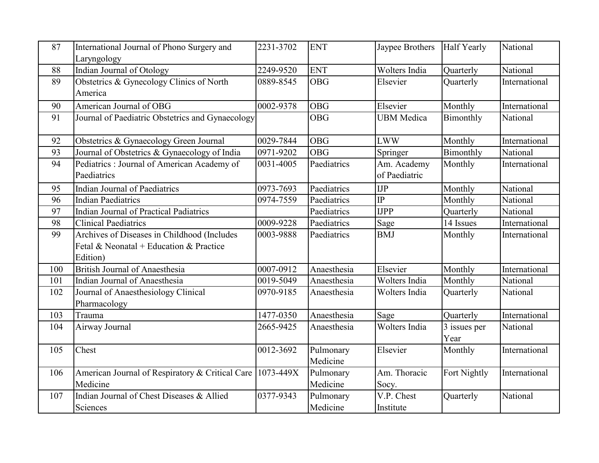| 87  | International Journal of Phono Surgery and                | 2231-3702 | <b>ENT</b>  | Jaypee Brothers   | <b>Half Yearly</b>        | National      |
|-----|-----------------------------------------------------------|-----------|-------------|-------------------|---------------------------|---------------|
|     | Laryngology                                               |           |             |                   |                           |               |
| 88  | <b>Indian Journal of Otology</b>                          | 2249-9520 | <b>ENT</b>  | Wolters India     | Quarterly                 | National      |
| 89  | Obstetrics & Gynecology Clinics of North                  | 0889-8545 | <b>OBG</b>  | Elsevier          | Quarterly                 | International |
|     | America                                                   |           |             |                   |                           |               |
| 90  | American Journal of OBG                                   | 0002-9378 | <b>OBG</b>  | Elsevier          | Monthly                   | International |
| 91  | Journal of Paediatric Obstetrics and Gynaecology          |           | <b>OBG</b>  | <b>UBM</b> Medica | Bimonthly                 | National      |
| 92  | Obstetrics & Gynaecology Green Journal                    | 0029-7844 | <b>OBG</b>  | <b>LWW</b>        | Monthly                   | International |
| 93  | Journal of Obstetrics & Gynaecology of India              | 0971-9202 | <b>OBG</b>  | Springer          | Bimonthly                 | National      |
| 94  | Pediatrics : Journal of American Academy of               | 0031-4005 | Paediatrics | Am. Academy       | Monthly                   | International |
|     | Paediatrics                                               |           |             | of Paediatric     |                           |               |
| 95  | <b>Indian Journal of Paediatrics</b>                      | 0973-7693 | Paediatrics | $_{\text{IJP}}$   | Monthly                   | National      |
| 96  | <b>Indian Paediatrics</b>                                 | 0974-7559 | Paediatrics | $\overline{IP}$   | Monthly                   | National      |
| 97  | <b>Indian Journal of Practical Padiatrics</b>             |           | Paediatrics | <b>IJPP</b>       | Quarterly                 | National      |
| 98  | <b>Clinical Paediatrics</b>                               | 0009-9228 | Paediatrics | Sage              | 14 Issues                 | International |
| 99  | Archives of Diseases in Childhood (Includes               | 0003-9888 | Paediatrics | <b>BMJ</b>        | Monthly                   | International |
|     | Fetal & Neonatal + Education & Practice                   |           |             |                   |                           |               |
|     | Edition)                                                  |           |             |                   |                           |               |
| 100 | <b>British Journal of Anaesthesia</b>                     | 0007-0912 | Anaesthesia | Elsevier          | Monthly                   | International |
| 101 | Indian Journal of Anaesthesia                             | 0019-5049 | Anaesthesia | Wolters India     | Monthly                   | National      |
| 102 | Journal of Anaesthesiology Clinical                       | 0970-9185 | Anaesthesia | Wolters India     | Quarterly                 | National      |
|     | Pharmacology                                              |           |             |                   |                           |               |
| 103 | Trauma                                                    | 1477-0350 | Anaesthesia | Sage              | Quarterly                 | International |
| 104 | Airway Journal                                            | 2665-9425 | Anaesthesia | Wolters India     | $\overline{3}$ issues per | National      |
|     |                                                           |           |             |                   | Year                      |               |
| 105 | Chest                                                     | 0012-3692 | Pulmonary   | Elsevier          | Monthly                   | International |
|     |                                                           |           | Medicine    |                   |                           |               |
| 106 | American Journal of Respiratory & Critical Care 1073-449X |           | Pulmonary   | Am. Thoracic      | Fort Nightly              | International |
|     | Medicine                                                  |           | Medicine    | Socy.             |                           |               |
| 107 | Indian Journal of Chest Diseases & Allied                 | 0377-9343 | Pulmonary   | V.P. Chest        | Quarterly                 | National      |
|     | Sciences                                                  |           | Medicine    | Institute         |                           |               |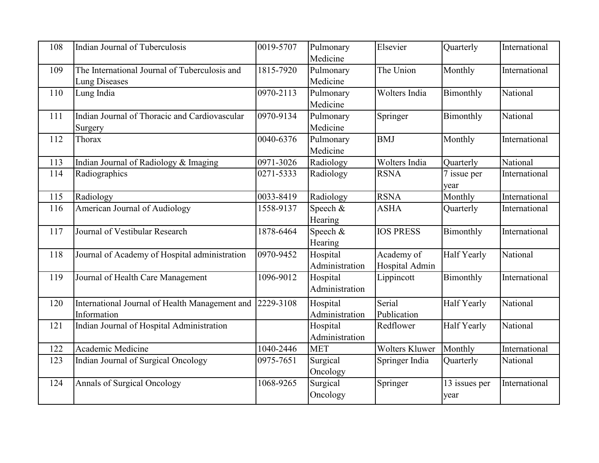| 108 | Indian Journal of Tuberculosis                                        | 0019-5707 | Pulmonary<br>Medicine      | Elsevier                     | Quarterly             | International |
|-----|-----------------------------------------------------------------------|-----------|----------------------------|------------------------------|-----------------------|---------------|
| 109 | The International Journal of Tuberculosis and<br><b>Lung Diseases</b> | 1815-7920 | Pulmonary<br>Medicine      | The Union                    | Monthly               | International |
| 110 | Lung India                                                            | 0970-2113 | Pulmonary<br>Medicine      | Wolters India                | Bimonthly             | National      |
| 111 | Indian Journal of Thoracic and Cardiovascular<br>Surgery              | 0970-9134 | Pulmonary<br>Medicine      | Springer                     | Bimonthly             | National      |
| 112 | Thorax                                                                | 0040-6376 | Pulmonary<br>Medicine      | <b>BMJ</b>                   | Monthly               | International |
| 113 | Indian Journal of Radiology & Imaging                                 | 0971-3026 | Radiology                  | Wolters India                | Quarterly             | National      |
| 114 | Radiographics                                                         | 0271-5333 | Radiology                  | <b>RSNA</b>                  | 7 issue per<br>year   | International |
| 115 | Radiology                                                             | 0033-8419 | Radiology                  | <b>RSNA</b>                  | Monthly               | International |
| 116 | American Journal of Audiology                                         | 1558-9137 | Speech &<br>Hearing        | <b>ASHA</b>                  | Quarterly             | International |
| 117 | Journal of Vestibular Research                                        | 1878-6464 | Speech &<br>Hearing        | <b>IOS PRESS</b>             | Bimonthly             | International |
| 118 | Journal of Academy of Hospital administration                         | 0970-9452 | Hospital<br>Administration | Academy of<br>Hospital Admin | <b>Half Yearly</b>    | National      |
| 119 | Journal of Health Care Management                                     | 1096-9012 | Hospital<br>Administration | Lippincott                   | Bimonthly             | International |
| 120 | International Journal of Health Management and<br>Information         | 2229-3108 | Hospital<br>Administration | Serial<br>Publication        | <b>Half Yearly</b>    | National      |
| 121 | Indian Journal of Hospital Administration                             |           | Hospital<br>Administration | Redflower                    | Half Yearly           | National      |
| 122 | Academic Medicine                                                     | 1040-2446 | <b>MET</b>                 | <b>Wolters Kluwer</b>        | Monthly               | International |
| 123 | Indian Journal of Surgical Oncology                                   | 0975-7651 | Surgical<br>Oncology       | Springer India               | Quarterly             | National      |
| 124 | Annals of Surgical Oncology                                           | 1068-9265 | Surgical<br>Oncology       | Springer                     | 13 issues per<br>year | International |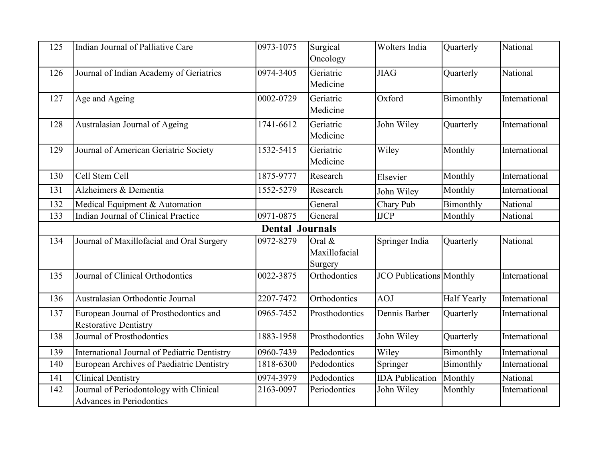| 125 | Indian Journal of Palliative Care                                      | 0973-1075 | Surgical<br>Oncology                  | Wolters India                   | Quarterly          | National      |  |  |  |
|-----|------------------------------------------------------------------------|-----------|---------------------------------------|---------------------------------|--------------------|---------------|--|--|--|
| 126 | Journal of Indian Academy of Geriatrics                                | 0974-3405 | Geriatric<br>Medicine                 | <b>JIAG</b>                     | Quarterly          | National      |  |  |  |
| 127 | Age and Ageing                                                         | 0002-0729 | Geriatric<br>Medicine                 | Oxford                          | Bimonthly          | International |  |  |  |
| 128 | Australasian Journal of Ageing                                         | 1741-6612 | Geriatric<br>Medicine                 | John Wiley                      | Quarterly          | International |  |  |  |
| 129 | Journal of American Geriatric Society                                  | 1532-5415 | Geriatric<br>Medicine                 | Wiley                           | Monthly            | International |  |  |  |
| 130 | Cell Stem Cell                                                         | 1875-9777 | Research                              | Elsevier                        | Monthly            | International |  |  |  |
| 131 | Alzheimers & Dementia                                                  | 1552-5279 | Research                              | John Wiley                      | Monthly            | International |  |  |  |
| 132 | Medical Equipment & Automation                                         |           | General                               | Chary Pub                       | Bimonthly          | National      |  |  |  |
| 133 | Indian Journal of Clinical Practice                                    | 0971-0875 | General                               | <b>IJCP</b>                     | Monthly            | National      |  |  |  |
|     | <b>Dental Journals</b>                                                 |           |                                       |                                 |                    |               |  |  |  |
| 134 | Journal of Maxillofacial and Oral Surgery                              | 0972-8279 | Oral $\&$<br>Maxillofacial<br>Surgery | Springer India                  | Quarterly          | National      |  |  |  |
| 135 | Journal of Clinical Orthodontics                                       | 0022-3875 | Orthodontics                          | <b>JCO</b> Publications Monthly |                    | International |  |  |  |
| 136 | Australasian Orthodontic Journal                                       | 2207-7472 | Orthodontics                          | <b>AOJ</b>                      | <b>Half Yearly</b> | International |  |  |  |
| 137 | European Journal of Prosthodontics and<br><b>Restorative Dentistry</b> | 0965-7452 | Prosthodontics                        | Dennis Barber                   | Quarterly          | International |  |  |  |
| 138 | Journal of Prosthodontics                                              | 1883-1958 | Prosthodontics                        | John Wiley                      | Quarterly          | International |  |  |  |
| 139 | <b>International Journal of Pediatric Dentistry</b>                    | 0960-7439 | Pedodontics                           | Wiley                           | Bimonthly          | International |  |  |  |
| 140 | European Archives of Paediatric Dentistry                              | 1818-6300 | Pedodontics                           | Springer                        | Bimonthly          | International |  |  |  |
| 141 | Clinical Dentistry                                                     | 0974-3979 | Pedodontics                           | <b>IDA</b> Publication          | Monthly            | National      |  |  |  |
| 142 | Journal of Periodontology with Clinical<br>Advances in Periodontics    | 2163-0097 | Periodontics                          | John Wiley                      | Monthly            | International |  |  |  |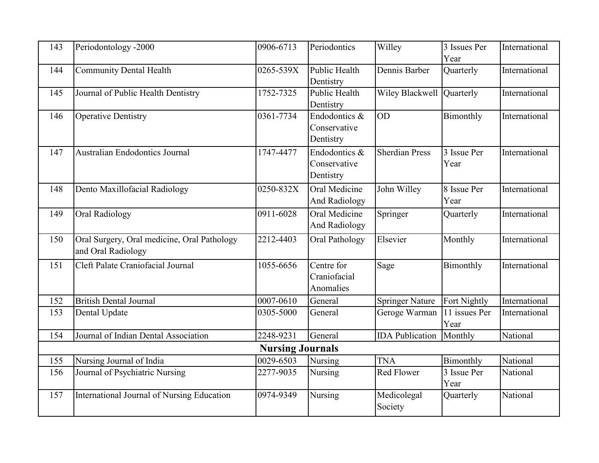| 143 | Periodontology -2000                                              | 0906-6713               | Periodontics                               | Willey                    | 3 Issues Per<br>Year  | International |
|-----|-------------------------------------------------------------------|-------------------------|--------------------------------------------|---------------------------|-----------------------|---------------|
| 144 | <b>Community Dental Health</b>                                    | 0265-539X               | Public Health<br>Dentistry                 | Dennis Barber             | Quarterly             | International |
| 145 | Journal of Public Health Dentistry                                | 1752-7325               | Public Health<br>Dentistry                 | Wiley Blackwell Quarterly |                       | International |
| 146 | Operative Dentistry                                               | 0361-7734               | Endodontics &<br>Conservative<br>Dentistry | <b>OD</b>                 | Bimonthly             | International |
| 147 | Australian Endodontics Journal                                    | 1747-4477               | Endodontics &<br>Conservative<br>Dentistry | <b>Sherdian Press</b>     | 3 Issue Per<br>Year   | International |
| 148 | Dento Maxillofacial Radiology                                     | 0250-832X               | Oral Medicine<br><b>And Radiology</b>      | John Willey               | 8 Issue Per<br>Year   | International |
| 149 | Oral Radiology                                                    | 0911-6028               | Oral Medicine<br>And Radiology             | Springer                  | Quarterly             | International |
| 150 | Oral Surgery, Oral medicine, Oral Pathology<br>and Oral Radiology | 2212-4403               | Oral Pathology                             | Elsevier                  | Monthly               | International |
| 151 | Cleft Palate Craniofacial Journal                                 | 1055-6656               | Centre for<br>Craniofacial<br>Anomalies    | Sage                      | Bimonthly             | International |
| 152 | <b>British Dental Journal</b>                                     | 0007-0610               | General                                    | <b>Springer Nature</b>    | Fort Nightly          | International |
| 153 | Dental Update                                                     | 0305-5000               | General                                    | Geroge Warman             | 11 issues Per<br>Year | International |
| 154 | Journal of Indian Dental Association                              | 2248-9231               | General                                    | <b>IDA</b> Publication    | Monthly               | National      |
|     |                                                                   | <b>Nursing Journals</b> |                                            |                           |                       |               |
| 155 | Nursing Journal of India                                          | 0029-6503               | Nursing                                    | <b>TNA</b>                | Bimonthly             | National      |
| 156 | Journal of Psychiatric Nursing                                    | 2277-9035               | Nursing                                    | Red Flower                | 3 Issue Per<br>Year   | National      |
| 157 | International Journal of Nursing Education                        | 0974-9349               | Nursing                                    | Medicolegal<br>Society    | Quarterly             | National      |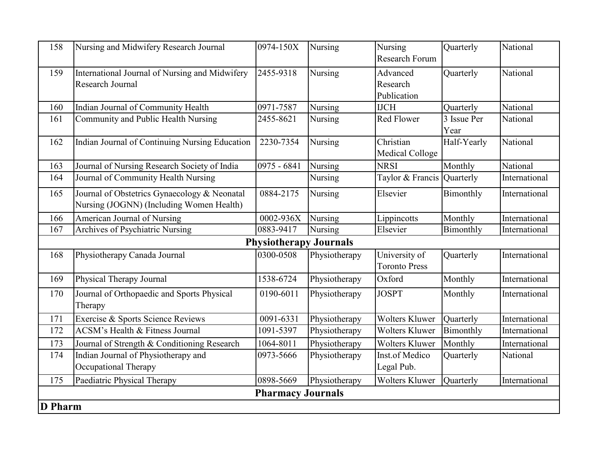| 158            | Nursing and Midwifery Research Journal                                                   | 0974-150X                     | Nursing       | Nursing<br><b>Research Forum</b>      | Quarterly           | National      |
|----------------|------------------------------------------------------------------------------------------|-------------------------------|---------------|---------------------------------------|---------------------|---------------|
| 159            | International Journal of Nursing and Midwifery<br>Research Journal                       | 2455-9318                     | Nursing       | Advanced<br>Research<br>Publication   | Quarterly           | National      |
| 160            | Indian Journal of Community Health                                                       | 0971-7587                     | Nursing       | <b>IJCH</b>                           | Quarterly           | National      |
| 161            | Community and Public Health Nursing                                                      | 2455-8621                     | Nursing       | Red Flower                            | 3 Issue Per<br>Year | National      |
| 162            | <b>Indian Journal of Continuing Nursing Education</b>                                    | 2230-7354                     | Nursing       | Christian<br>Medical Colloge          | Half-Yearly         | National      |
| 163            | Journal of Nursing Research Society of India                                             | 0975 - 6841                   | Nursing       | <b>NRSI</b>                           | Monthly             | National      |
| 164            | Journal of Community Health Nursing                                                      |                               | Nursing       | Taylor & Francis Quarterly            |                     | International |
| 165            | Journal of Obstetrics Gynaecology & Neonatal<br>Nursing (JOGNN) (Including Women Health) | 0884-2175                     | Nursing       | Elsevier                              | Bimonthly           | International |
| 166            | <b>American Journal of Nursing</b>                                                       | 0002-936X                     | Nursing       | Lippincotts                           | Monthly             | International |
| 167            | <b>Archives of Psychiatric Nursing</b>                                                   | 0883-9417                     | Nursing       | Elsevier                              | Bimonthly           | International |
|                |                                                                                          | <b>Physiotherapy Journals</b> |               |                                       |                     |               |
| 168            | Physiotherapy Canada Journal                                                             | 0300-0508                     | Physiotherapy | University of<br><b>Toronto Press</b> | Quarterly           | International |
| 169            | Physical Therapy Journal                                                                 | 1538-6724                     | Physiotherapy | Oxford                                | Monthly             | International |
| 170            | Journal of Orthopaedic and Sports Physical<br>Therapy                                    | 0190-6011                     | Physiotherapy | <b>JOSPT</b>                          | Monthly             | International |
| 171            | Exercise & Sports Science Reviews                                                        | 0091-6331                     | Physiotherapy | Wolters Kluwer                        | Quarterly           | International |
| 172            | <b>ACSM's Health &amp; Fitness Journal</b>                                               | 1091-5397                     | Physiotherapy | <b>Wolters Kluwer</b>                 | Bimonthly           | International |
| 173            | Journal of Strength & Conditioning Research                                              | 1064-8011                     | Physiotherapy | <b>Wolters Kluwer</b>                 | Monthly             | International |
| 174            | Indian Journal of Physiotherapy and<br>Occupational Therapy                              | 0973-5666                     | Physiotherapy | Inst.of Medico<br>Legal Pub.          | Quarterly           | National      |
| 175            | Paediatric Physical Therapy                                                              | 0898-5669                     | Physiotherapy | Wolters Kluwer                        | Quarterly           | International |
|                |                                                                                          | <b>Pharmacy Journals</b>      |               |                                       |                     |               |
| <b>D</b> Pharm |                                                                                          |                               |               |                                       |                     |               |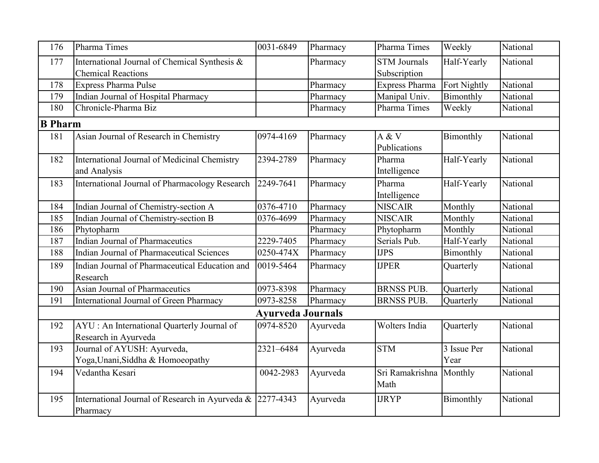| 176 | Pharma Times                                                          | 0031-6849                | Pharmacy | Pharma Times            | Weekly       | National |  |  |  |  |
|-----|-----------------------------------------------------------------------|--------------------------|----------|-------------------------|--------------|----------|--|--|--|--|
| 177 | International Journal of Chemical Synthesis &                         |                          | Pharmacy | <b>STM</b> Journals     | Half-Yearly  | National |  |  |  |  |
|     | <b>Chemical Reactions</b>                                             |                          |          | Subscription            |              |          |  |  |  |  |
| 178 | <b>Express Pharma Pulse</b>                                           |                          | Pharmacy | <b>Express Pharma</b>   | Fort Nightly | National |  |  |  |  |
| 179 | Indian Journal of Hospital Pharmacy                                   |                          | Pharmacy | Manipal Univ.           | Bimonthly    | National |  |  |  |  |
| 180 | Chronicle-Pharma Biz                                                  |                          | Pharmacy | Pharma Times            | Weekly       | National |  |  |  |  |
|     | <b>B</b> Pharm                                                        |                          |          |                         |              |          |  |  |  |  |
| 181 | Asian Journal of Research in Chemistry                                | 0974-4169                | Pharmacy | A & V<br>Publications   | Bimonthly    | National |  |  |  |  |
| 182 | International Journal of Medicinal Chemistry<br>and Analysis          | 2394-2789                | Pharmacy | Pharma<br>Intelligence  | Half-Yearly  | National |  |  |  |  |
| 183 | International Journal of Pharmacology Research                        | 2249-7641                | Pharmacy | Pharma<br>Intelligence  | Half-Yearly  | National |  |  |  |  |
| 184 | Indian Journal of Chemistry-section A                                 | 0376-4710                | Pharmacy | <b>NISCAIR</b>          | Monthly      | National |  |  |  |  |
| 185 | Indian Journal of Chemistry-section B                                 | 0376-4699                | Pharmacy | <b>NISCAIR</b>          | Monthly      | National |  |  |  |  |
| 186 | Phytopharm                                                            |                          | Pharmacy | Phytopharm              | Monthly      | National |  |  |  |  |
| 187 | Indian Journal of Pharmaceutics                                       | 2229-7405                | Pharmacy | Serials Pub.            | Half-Yearly  | National |  |  |  |  |
| 188 | Indian Journal of Pharmaceutical Sciences                             | 0250-474X                | Pharmacy | <b>IJPS</b>             | Bimonthly    | National |  |  |  |  |
| 189 | Indian Journal of Pharmaceutical Education and<br>Research            | 0019-5464                | Pharmacy | <b>IJPER</b>            | Quarterly    | National |  |  |  |  |
| 190 | Asian Journal of Pharmaceutics                                        | 0973-8398                | Pharmacy | <b>BRNSS PUB.</b>       | Quarterly    | National |  |  |  |  |
| 191 | International Journal of Green Pharmacy                               | 0973-8258                | Pharmacy | <b>BRNSS PUB.</b>       | Quarterly    | National |  |  |  |  |
|     |                                                                       | <b>Ayurveda Journals</b> |          |                         |              |          |  |  |  |  |
| 192 | AYU : An International Quarterly Journal of<br>Research in Ayurveda   | 0974-8520                | Ayurveda | Wolters India           | Quarterly    | National |  |  |  |  |
| 193 | Journal of AYUSH: Ayurveda,                                           | 2321-6484                | Ayurveda | <b>STM</b>              | 3 Issue Per  | National |  |  |  |  |
|     | Yoga, Unani, Siddha & Homoeopathy                                     |                          |          |                         | Year         |          |  |  |  |  |
| 194 | Vedantha Kesari                                                       | 0042-2983                | Ayurveda | Sri Ramakrishna<br>Math | Monthly      | National |  |  |  |  |
| 195 | International Journal of Research in Ayurveda & 2277-4343<br>Pharmacy |                          | Ayurveda | <b>IJRYP</b>            | Bimonthly    | National |  |  |  |  |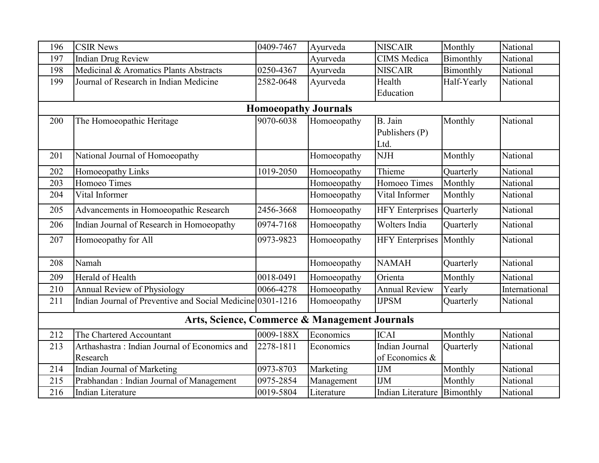| 196 | <b>CSIR News</b>                                           | 0409-7467                   | Ayurveda    | <b>NISCAIR</b>              | Monthly     | National      |
|-----|------------------------------------------------------------|-----------------------------|-------------|-----------------------------|-------------|---------------|
| 197 | <b>Indian Drug Review</b>                                  |                             | Ayurveda    | <b>CIMS</b> Medica          | Bimonthly   | National      |
| 198 | Medicinal & Aromatics Plants Abstracts                     | 0250-4367                   | Ayurveda    | <b>NISCAIR</b>              | Bimonthly   | National      |
| 199 | Journal of Research in Indian Medicine                     | 2582-0648                   | Ayurveda    | Health                      | Half-Yearly | National      |
|     |                                                            |                             |             | Education                   |             |               |
|     |                                                            | <b>Homoeopathy Journals</b> |             |                             |             |               |
| 200 | The Homoeopathic Heritage                                  | 9070-6038                   | Homoeopathy | B. Jain                     | Monthly     | National      |
|     |                                                            |                             |             | Publishers (P)              |             |               |
|     |                                                            |                             |             | Ltd.                        |             |               |
| 201 | National Journal of Homoeopathy                            |                             | Homoeopathy | <b>NJH</b>                  | Monthly     | National      |
| 202 | Homoeopathy Links                                          | 1019-2050                   | Homoeopathy | Thieme                      | Quarterly   | National      |
| 203 | Homoeo Times                                               |                             | Homoeopathy | Homoeo Times                | Monthly     | National      |
| 204 | Vital Informer                                             |                             | Homoeopathy | Vital Informer              | Monthly     | National      |
| 205 | Advancements in Homoeopathic Research                      | 2456-3668                   | Homoeopathy | <b>HFY</b> Enterprises      | Quarterly   | National      |
| 206 | Indian Journal of Research in Homoeopathy                  | 0974-7168                   | Homoeopathy | Wolters India               | Quarterly   | National      |
| 207 | Homoeopathy for All                                        | 0973-9823                   | Homoeopathy | <b>HFY</b> Enterprises      | Monthly     | National      |
|     |                                                            |                             |             |                             |             |               |
| 208 | Namah                                                      |                             | Homoeopathy | <b>NAMAH</b>                | Quarterly   | National      |
| 209 | Herald of Health                                           | 0018-0491                   | Homoeopathy | Orienta                     | Monthly     | National      |
| 210 | <b>Annual Review of Physiology</b>                         | 0066-4278                   | Homoeopathy | <b>Annual Review</b>        | Yearly      | International |
| 211 | Indian Journal of Preventive and Social Medicine 0301-1216 |                             | Homoeopathy | <b>IJPSM</b>                | Quarterly   | National      |
|     | Arts, Science, Commerce & Management Journals              |                             |             |                             |             |               |
| 212 | The Chartered Accountant                                   | 0009-188X                   | Economics   | <b>ICAI</b>                 | Monthly     | National      |
| 213 | Arthashastra: Indian Journal of Economics and              | 2278-1811                   | Economics   | Indian Journal              | Quarterly   | National      |
|     | Research                                                   |                             |             | of Economics &              |             |               |
| 214 | Indian Journal of Marketing                                | 0973-8703                   | Marketing   | <b>IJM</b>                  | Monthly     | National      |
| 215 | Prabhandan : Indian Journal of Management                  | 0975-2854                   | Management  | <b>IJM</b>                  | Monthly     | National      |
| 216 | <b>Indian Literature</b>                                   | 0019-5804                   | Literature  | Indian Literature Bimonthly |             | National      |